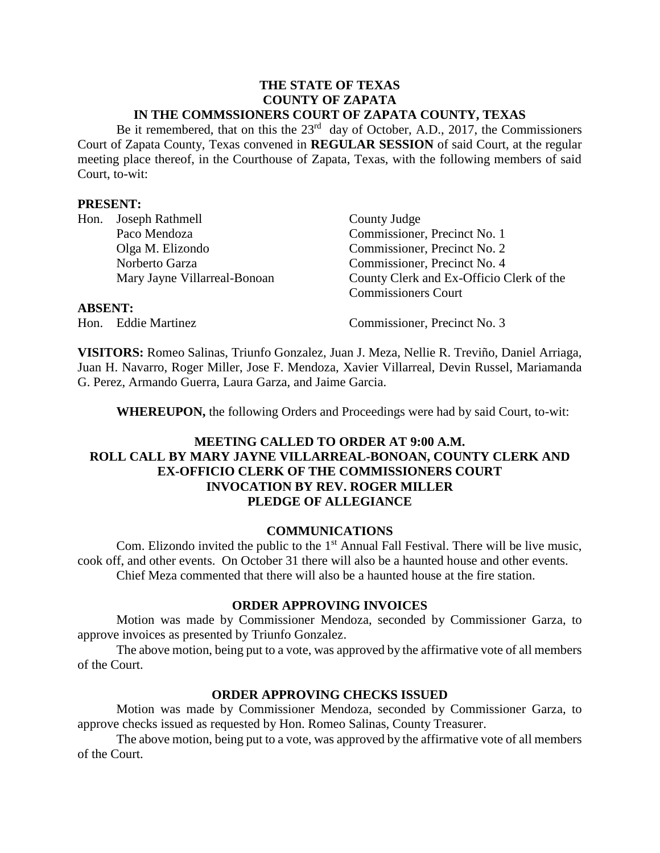#### **THE STATE OF TEXAS COUNTY OF ZAPATA IN THE COMMSSIONERS COURT OF ZAPATA COUNTY, TEXAS**

Be it remembered, that on this the 23<sup>rd</sup> day of October, A.D., 2017, the Commissioners Court of Zapata County, Texas convened in **REGULAR SESSION** of said Court, at the regular meeting place thereof, in the Courthouse of Zapata, Texas, with the following members of said Court, to-wit:

#### **PRESENT:**

| Hon.           | Joseph Rathmell              | County Judge                             |
|----------------|------------------------------|------------------------------------------|
|                | Paco Mendoza                 | Commissioner, Precinct No. 1             |
|                | Olga M. Elizondo             | Commissioner, Precinct No. 2             |
|                | Norberto Garza               | Commissioner, Precinct No. 4             |
|                | Mary Jayne Villarreal-Bonoan | County Clerk and Ex-Officio Clerk of the |
|                |                              | <b>Commissioners Court</b>               |
| <b>ABSENT:</b> |                              |                                          |
|                | Hon. Eddie Martinez          | Commissioner, Precinct No. 3             |

**VISITORS:** Romeo Salinas, Triunfo Gonzalez, Juan J. Meza, Nellie R. Treviño, Daniel Arriaga, Juan H. Navarro, Roger Miller, Jose F. Mendoza, Xavier Villarreal, Devin Russel, Mariamanda G. Perez, Armando Guerra, Laura Garza, and Jaime Garcia.

**WHEREUPON,** the following Orders and Proceedings were had by said Court, to-wit:

## **MEETING CALLED TO ORDER AT 9:00 A.M. ROLL CALL BY MARY JAYNE VILLARREAL-BONOAN, COUNTY CLERK AND EX-OFFICIO CLERK OF THE COMMISSIONERS COURT INVOCATION BY REV. ROGER MILLER PLEDGE OF ALLEGIANCE**

#### **COMMUNICATIONS**

Com. Elizondo invited the public to the  $1<sup>st</sup>$  Annual Fall Festival. There will be live music, cook off, and other events. On October 31 there will also be a haunted house and other events. Chief Meza commented that there will also be a haunted house at the fire station.

#### **ORDER APPROVING INVOICES**

Motion was made by Commissioner Mendoza, seconded by Commissioner Garza, to approve invoices as presented by Triunfo Gonzalez.

The above motion, being put to a vote, was approved by the affirmative vote of all members of the Court.

#### **ORDER APPROVING CHECKS ISSUED**

Motion was made by Commissioner Mendoza, seconded by Commissioner Garza, to approve checks issued as requested by Hon. Romeo Salinas, County Treasurer.

The above motion, being put to a vote, was approved by the affirmative vote of all members of the Court.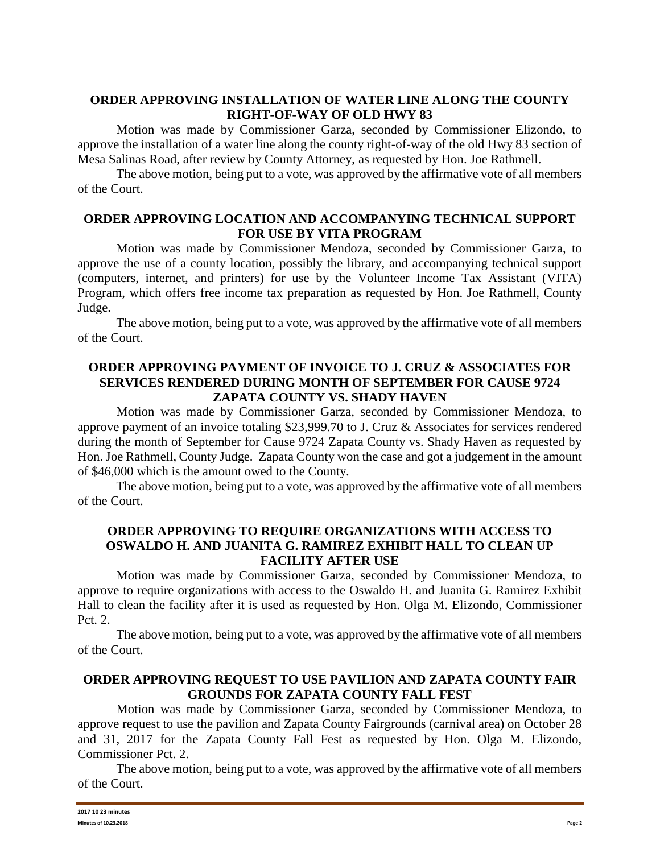# **ORDER APPROVING INSTALLATION OF WATER LINE ALONG THE COUNTY RIGHT-OF-WAY OF OLD HWY 83**

Motion was made by Commissioner Garza, seconded by Commissioner Elizondo, to approve the installation of a water line along the county right-of-way of the old Hwy 83 section of Mesa Salinas Road, after review by County Attorney, as requested by Hon. Joe Rathmell.

The above motion, being put to a vote, was approved by the affirmative vote of all members of the Court.

# **ORDER APPROVING LOCATION AND ACCOMPANYING TECHNICAL SUPPORT FOR USE BY VITA PROGRAM**

Motion was made by Commissioner Mendoza, seconded by Commissioner Garza, to approve the use of a county location, possibly the library, and accompanying technical support (computers, internet, and printers) for use by the Volunteer Income Tax Assistant (VITA) Program, which offers free income tax preparation as requested by Hon. Joe Rathmell, County Judge.

The above motion, being put to a vote, was approved by the affirmative vote of all members of the Court.

### **ORDER APPROVING PAYMENT OF INVOICE TO J. CRUZ & ASSOCIATES FOR SERVICES RENDERED DURING MONTH OF SEPTEMBER FOR CAUSE 9724 ZAPATA COUNTY VS. SHADY HAVEN**

Motion was made by Commissioner Garza, seconded by Commissioner Mendoza, to approve payment of an invoice totaling \$23,999.70 to J. Cruz & Associates for services rendered during the month of September for Cause 9724 Zapata County vs. Shady Haven as requested by Hon. Joe Rathmell, County Judge. Zapata County won the case and got a judgement in the amount of \$46,000 which is the amount owed to the County.

The above motion, being put to a vote, was approved by the affirmative vote of all members of the Court.

# **ORDER APPROVING TO REQUIRE ORGANIZATIONS WITH ACCESS TO OSWALDO H. AND JUANITA G. RAMIREZ EXHIBIT HALL TO CLEAN UP FACILITY AFTER USE**

Motion was made by Commissioner Garza, seconded by Commissioner Mendoza, to approve to require organizations with access to the Oswaldo H. and Juanita G. Ramirez Exhibit Hall to clean the facility after it is used as requested by Hon. Olga M. Elizondo, Commissioner Pct. 2.

The above motion, being put to a vote, was approved by the affirmative vote of all members of the Court.

### **ORDER APPROVING REQUEST TO USE PAVILION AND ZAPATA COUNTY FAIR GROUNDS FOR ZAPATA COUNTY FALL FEST**

Motion was made by Commissioner Garza, seconded by Commissioner Mendoza, to approve request to use the pavilion and Zapata County Fairgrounds (carnival area) on October 28 and 31, 2017 for the Zapata County Fall Fest as requested by Hon. Olga M. Elizondo, Commissioner Pct. 2.

The above motion, being put to a vote, was approved by the affirmative vote of all members of the Court.

| 2017 10 23 minutes           |        |
|------------------------------|--------|
| <b>Minutes of 10.23.2018</b> | Page 2 |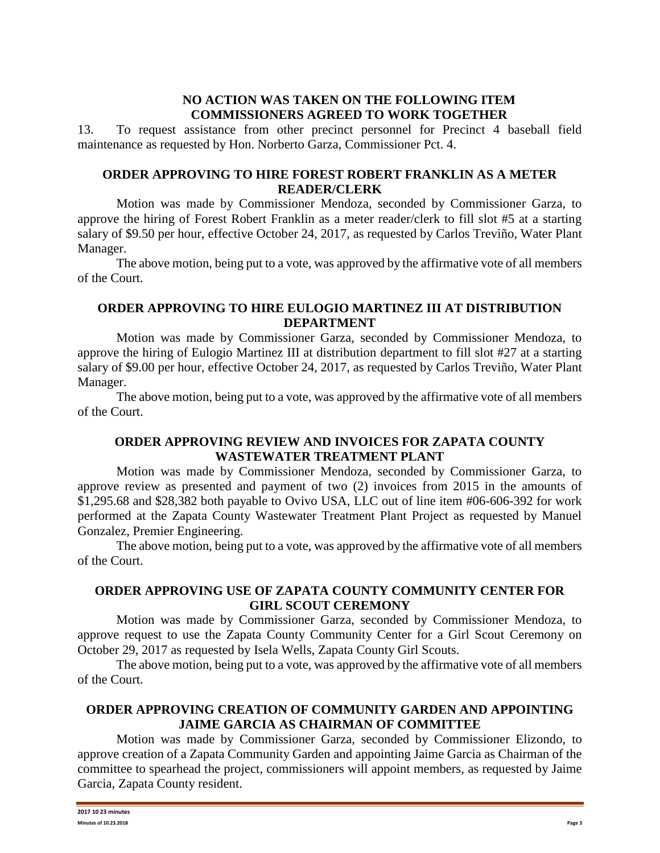### **NO ACTION WAS TAKEN ON THE FOLLOWING ITEM COMMISSIONERS AGREED TO WORK TOGETHER**

13. To request assistance from other precinct personnel for Precinct 4 baseball field maintenance as requested by Hon. Norberto Garza, Commissioner Pct. 4.

# **ORDER APPROVING TO HIRE FOREST ROBERT FRANKLIN AS A METER READER/CLERK**

Motion was made by Commissioner Mendoza, seconded by Commissioner Garza, to approve the hiring of Forest Robert Franklin as a meter reader/clerk to fill slot #5 at a starting salary of \$9.50 per hour, effective October 24, 2017, as requested by Carlos Treviño, Water Plant Manager.

The above motion, being put to a vote, was approved by the affirmative vote of all members of the Court.

### **ORDER APPROVING TO HIRE EULOGIO MARTINEZ III AT DISTRIBUTION DEPARTMENT**

Motion was made by Commissioner Garza, seconded by Commissioner Mendoza, to approve the hiring of Eulogio Martinez III at distribution department to fill slot #27 at a starting salary of \$9.00 per hour, effective October 24, 2017, as requested by Carlos Treviño, Water Plant Manager.

The above motion, being put to a vote, was approved by the affirmative vote of all members of the Court.

# **ORDER APPROVING REVIEW AND INVOICES FOR ZAPATA COUNTY WASTEWATER TREATMENT PLANT**

Motion was made by Commissioner Mendoza, seconded by Commissioner Garza, to approve review as presented and payment of two (2) invoices from 2015 in the amounts of \$1,295.68 and \$28,382 both payable to Ovivo USA, LLC out of line item #06-606-392 for work performed at the Zapata County Wastewater Treatment Plant Project as requested by Manuel Gonzalez, Premier Engineering.

The above motion, being put to a vote, was approved by the affirmative vote of all members of the Court.

# **ORDER APPROVING USE OF ZAPATA COUNTY COMMUNITY CENTER FOR GIRL SCOUT CEREMONY**

Motion was made by Commissioner Garza, seconded by Commissioner Mendoza, to approve request to use the Zapata County Community Center for a Girl Scout Ceremony on October 29, 2017 as requested by Isela Wells, Zapata County Girl Scouts.

The above motion, being put to a vote, was approved by the affirmative vote of all members of the Court.

### **ORDER APPROVING CREATION OF COMMUNITY GARDEN AND APPOINTING JAIME GARCIA AS CHAIRMAN OF COMMITTEE**

Motion was made by Commissioner Garza, seconded by Commissioner Elizondo, to approve creation of a Zapata Community Garden and appointing Jaime Garcia as Chairman of the committee to spearhead the project, commissioners will appoint members, as requested by Jaime Garcia, Zapata County resident.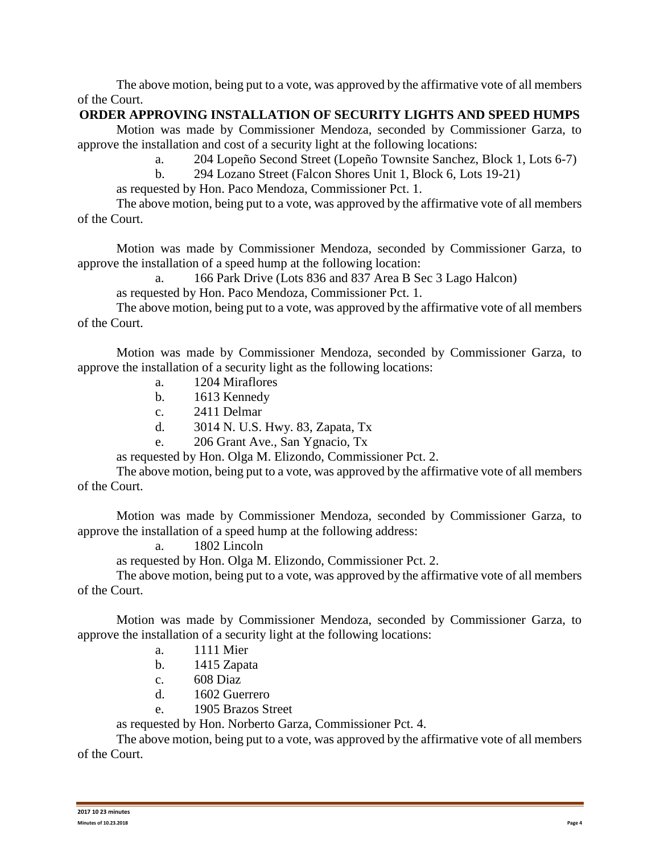The above motion, being put to a vote, was approved by the affirmative vote of all members of the Court.

### **ORDER APPROVING INSTALLATION OF SECURITY LIGHTS AND SPEED HUMPS**

Motion was made by Commissioner Mendoza, seconded by Commissioner Garza, to approve the installation and cost of a security light at the following locations:

a. 204 Lopeño Second Street (Lopeño Townsite Sanchez, Block 1, Lots 6-7)

b. 294 Lozano Street (Falcon Shores Unit 1, Block 6, Lots 19-21)

as requested by Hon. Paco Mendoza, Commissioner Pct. 1.

The above motion, being put to a vote, was approved by the affirmative vote of all members of the Court.

Motion was made by Commissioner Mendoza, seconded by Commissioner Garza, to approve the installation of a speed hump at the following location:

a. 166 Park Drive (Lots 836 and 837 Area B Sec 3 Lago Halcon)

as requested by Hon. Paco Mendoza, Commissioner Pct. 1.

The above motion, being put to a vote, was approved by the affirmative vote of all members of the Court.

Motion was made by Commissioner Mendoza, seconded by Commissioner Garza, to approve the installation of a security light as the following locations:

- a. 1204 Miraflores
- b. 1613 Kennedy
- c. 2411 Delmar
- d. 3014 N. U.S. Hwy. 83, Zapata, Tx
- e. 206 Grant Ave., San Ygnacio, Tx

as requested by Hon. Olga M. Elizondo, Commissioner Pct. 2.

The above motion, being put to a vote, was approved by the affirmative vote of all members of the Court.

Motion was made by Commissioner Mendoza, seconded by Commissioner Garza, to approve the installation of a speed hump at the following address:

a. 1802 Lincoln

as requested by Hon. Olga M. Elizondo, Commissioner Pct. 2.

The above motion, being put to a vote, was approved by the affirmative vote of all members of the Court.

Motion was made by Commissioner Mendoza, seconded by Commissioner Garza, to approve the installation of a security light at the following locations:

- a. 1111 Mier
- b. 1415 Zapata
- c. 608 Diaz
- d. 1602 Guerrero
- e. 1905 Brazos Street

as requested by Hon. Norberto Garza, Commissioner Pct. 4.

The above motion, being put to a vote, was approved by the affirmative vote of all members of the Court.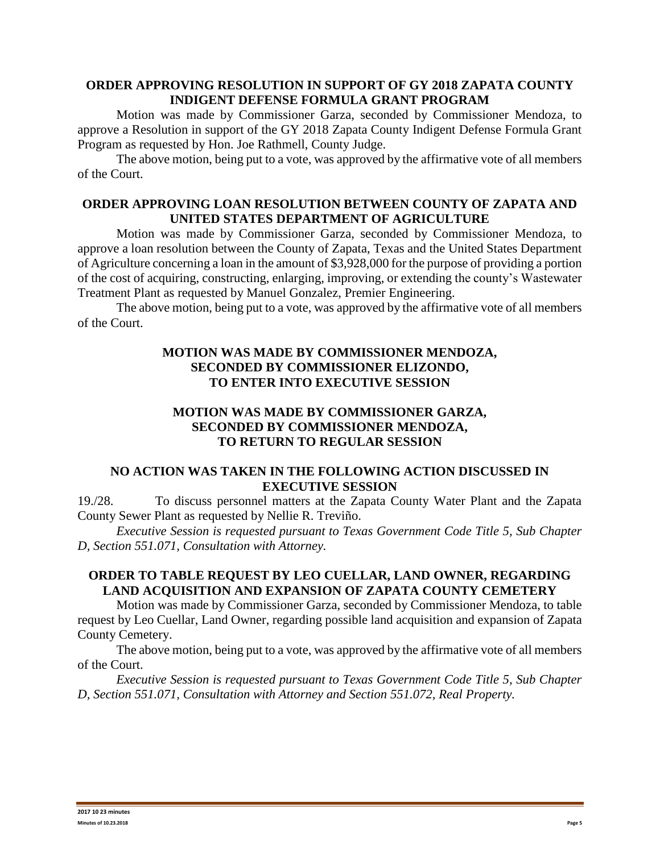### **ORDER APPROVING RESOLUTION IN SUPPORT OF GY 2018 ZAPATA COUNTY INDIGENT DEFENSE FORMULA GRANT PROGRAM**

Motion was made by Commissioner Garza, seconded by Commissioner Mendoza, to approve a Resolution in support of the GY 2018 Zapata County Indigent Defense Formula Grant Program as requested by Hon. Joe Rathmell, County Judge.

The above motion, being put to a vote, was approved by the affirmative vote of all members of the Court.

### **ORDER APPROVING LOAN RESOLUTION BETWEEN COUNTY OF ZAPATA AND UNITED STATES DEPARTMENT OF AGRICULTURE**

Motion was made by Commissioner Garza, seconded by Commissioner Mendoza, to approve a loan resolution between the County of Zapata, Texas and the United States Department of Agriculture concerning a loan in the amount of \$3,928,000 for the purpose of providing a portion of the cost of acquiring, constructing, enlarging, improving, or extending the county's Wastewater Treatment Plant as requested by Manuel Gonzalez, Premier Engineering.

The above motion, being put to a vote, was approved by the affirmative vote of all members of the Court.

# **MOTION WAS MADE BY COMMISSIONER MENDOZA, SECONDED BY COMMISSIONER ELIZONDO, TO ENTER INTO EXECUTIVE SESSION**

# **MOTION WAS MADE BY COMMISSIONER GARZA, SECONDED BY COMMISSIONER MENDOZA, TO RETURN TO REGULAR SESSION**

# **NO ACTION WAS TAKEN IN THE FOLLOWING ACTION DISCUSSED IN EXECUTIVE SESSION**

19./28. To discuss personnel matters at the Zapata County Water Plant and the Zapata County Sewer Plant as requested by Nellie R. Treviño.

*Executive Session is requested pursuant to Texas Government Code Title 5, Sub Chapter D, Section 551.071, Consultation with Attorney.*

# **ORDER TO TABLE REQUEST BY LEO CUELLAR, LAND OWNER, REGARDING LAND ACQUISITION AND EXPANSION OF ZAPATA COUNTY CEMETERY**

Motion was made by Commissioner Garza, seconded by Commissioner Mendoza, to table request by Leo Cuellar, Land Owner, regarding possible land acquisition and expansion of Zapata County Cemetery.

The above motion, being put to a vote, was approved by the affirmative vote of all members of the Court.

*Executive Session is requested pursuant to Texas Government Code Title 5, Sub Chapter D, Section 551.071, Consultation with Attorney and Section 551.072, Real Property.*